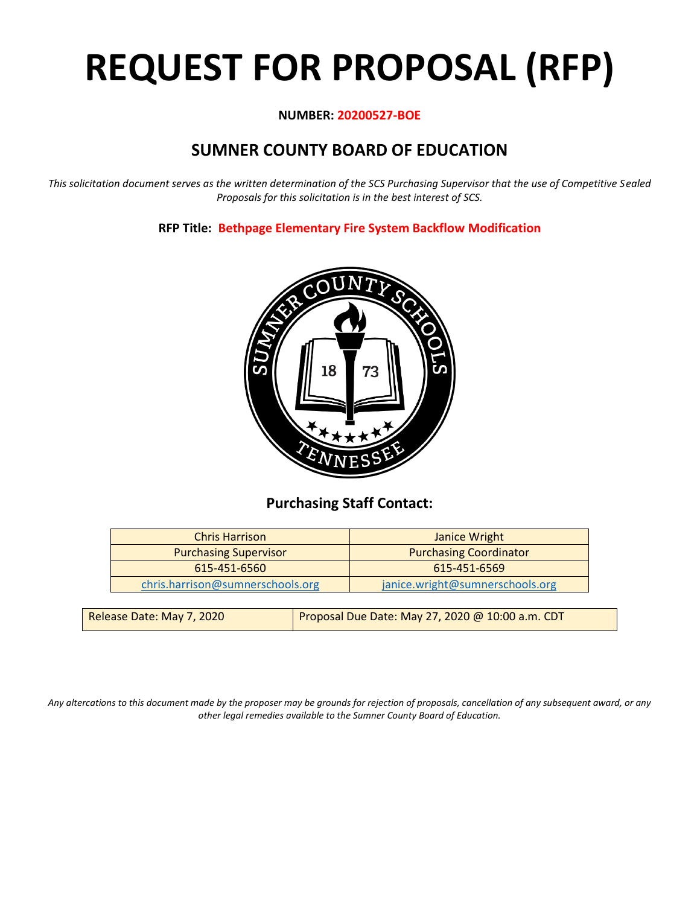# **REQUEST FOR PROPOSAL (RFP)**

#### **NUMBER: 20200527-BOE**

# **SUMNER COUNTY BOARD OF EDUCATION**

*This solicitation document serves as the written determination of the SCS Purchasing Supervisor that the use of Competitive Sealed Proposals for this solicitation is in the best interest of SCS.*

**RFP Title: Bethpage Elementary Fire System Backflow Modification**



## **Purchasing Staff Contact:**

| <b>Chris Harrison</b>            | Janice Wright                   |
|----------------------------------|---------------------------------|
| <b>Purchasing Supervisor</b>     | <b>Purchasing Coordinator</b>   |
| 615-451-6560                     | 615-451-6569                    |
| chris.harrison@sumnerschools.org | janice.wright@sumnerschools.org |
|                                  |                                 |

| Release Date: May 7, 2020 | Proposal Due Date: May 27, 2020 @ 10:00 a.m. CDT |
|---------------------------|--------------------------------------------------|
|                           |                                                  |

*Any altercations to this document made by the proposer may be grounds for rejection of proposals, cancellation of any subsequent award, or any other legal remedies available to the Sumner County Board of Education.*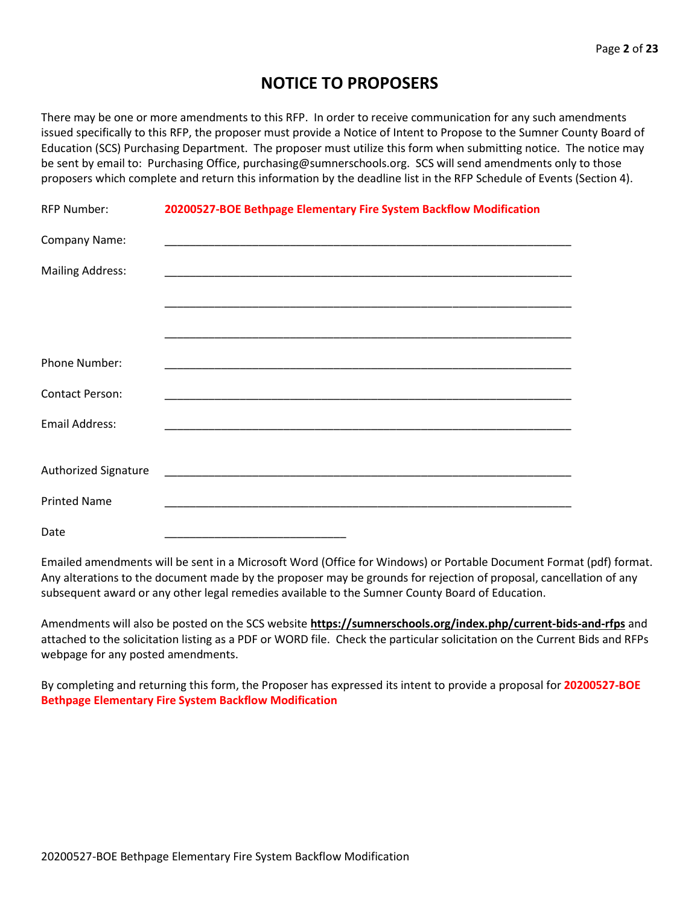## **NOTICE TO PROPOSERS**

There may be one or more amendments to this RFP. In order to receive communication for any such amendments issued specifically to this RFP, the proposer must provide a Notice of Intent to Propose to the Sumner County Board of Education (SCS) Purchasing Department. The proposer must utilize this form when submitting notice. The notice may be sent by email to: Purchasing Office, purchasing@sumnerschools.org. SCS will send amendments only to those proposers which complete and return this information by the deadline list in the RFP Schedule of Events (Section 4).

| <b>RFP Number:</b>          | 20200527-BOE Bethpage Elementary Fire System Backflow Modification |
|-----------------------------|--------------------------------------------------------------------|
| Company Name:               |                                                                    |
| <b>Mailing Address:</b>     |                                                                    |
|                             |                                                                    |
|                             |                                                                    |
| Phone Number:               |                                                                    |
| <b>Contact Person:</b>      |                                                                    |
| Email Address:              |                                                                    |
|                             |                                                                    |
| <b>Authorized Signature</b> |                                                                    |
| <b>Printed Name</b>         |                                                                    |
| Date                        |                                                                    |

Emailed amendments will be sent in a Microsoft Word (Office for Windows) or Portable Document Format (pdf) format. Any alterations to the document made by the proposer may be grounds for rejection of proposal, cancellation of any subsequent award or any other legal remedies available to the Sumner County Board of Education.

Amendments will also be posted on the SCS website **https://sumnerschools.org/index.php/current-bids-and-rfps** and attached to the solicitation listing as a PDF or WORD file. Check the particular solicitation on the Current Bids and RFPs webpage for any posted amendments.

By completing and returning this form, the Proposer has expressed its intent to provide a proposal for **20200527-BOE Bethpage Elementary Fire System Backflow Modification**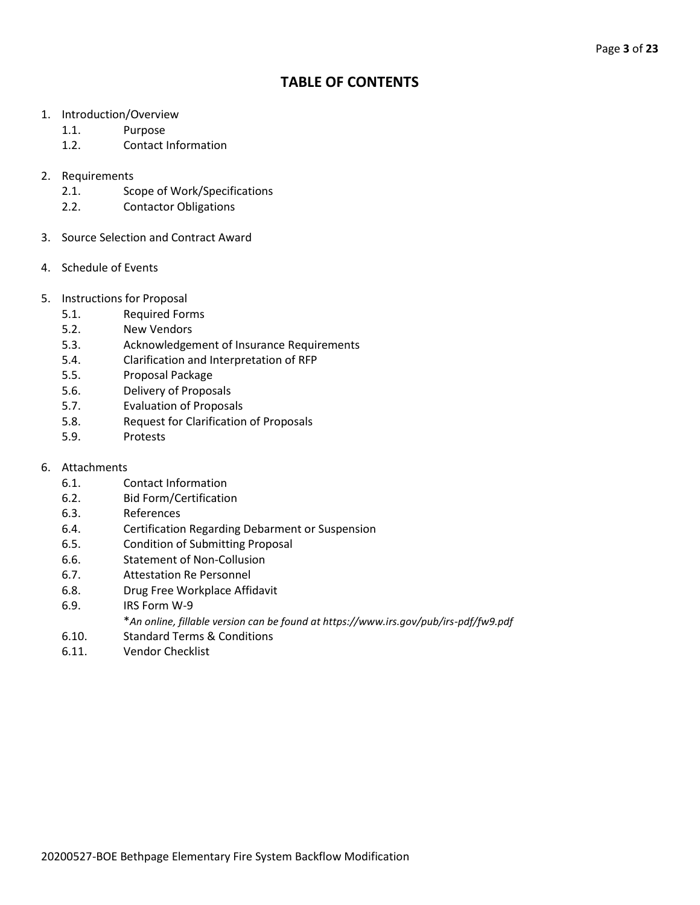## **TABLE OF CONTENTS**

- 1. Introduction/Overview
	- 1.1. Purpose
	- 1.2. Contact Information
- 2. Requirements
	- 2.1. Scope of Work/Specifications
	- 2.2. Contactor Obligations
- 3. Source Selection and Contract Award
- 4. Schedule of Events
- 5. Instructions for Proposal
	- 5.1. Required Forms
	- 5.2. New Vendors
	- 5.3. Acknowledgement of Insurance Requirements
	- 5.4. Clarification and Interpretation of RFP
	- 5.5. Proposal Package
	- 5.6. Delivery of Proposals
	- 5.7. Evaluation of Proposals
	- 5.8. Request for Clarification of Proposals
	- 5.9. Protests
- 6. Attachments
	- 6.1. Contact Information
	- 6.2. Bid Form/Certification
	- 6.3. References
	- 6.4. Certification Regarding Debarment or Suspension
	- 6.5. Condition of Submitting Proposal
	- 6.6. Statement of Non-Collusion
	- 6.7. Attestation Re Personnel
	- 6.8. Drug Free Workplace Affidavit
	- 6.9. IRS Form W-9
		- \**An online, fillable version can be found at https://www.irs.gov/pub/irs-pdf/fw9.pdf*
	- 6.10. Standard Terms & Conditions
	- 6.11. Vendor Checklist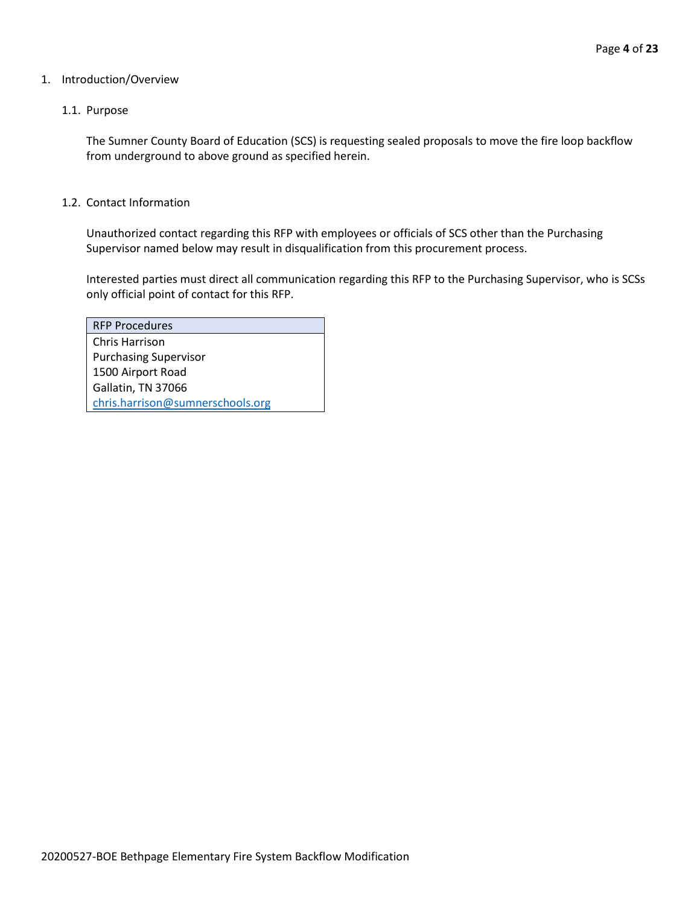#### 1. Introduction/Overview

#### 1.1. Purpose

The Sumner County Board of Education (SCS) is requesting sealed proposals to move the fire loop backflow from underground to above ground as specified herein.

#### 1.2. Contact Information

Unauthorized contact regarding this RFP with employees or officials of SCS other than the Purchasing Supervisor named below may result in disqualification from this procurement process.

Interested parties must direct all communication regarding this RFP to the Purchasing Supervisor, who is SCSs only official point of contact for this RFP.

| <b>RFP Procedures</b>            |  |
|----------------------------------|--|
| Chris Harrison                   |  |
| <b>Purchasing Supervisor</b>     |  |
| 1500 Airport Road                |  |
| Gallatin, TN 37066               |  |
| chris.harrison@sumnerschools.org |  |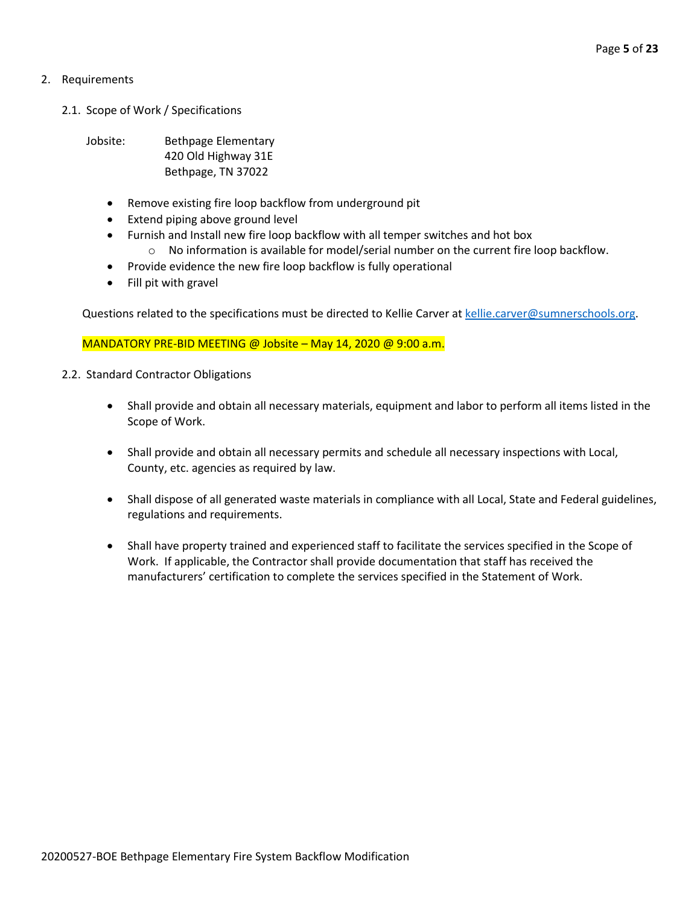#### 2. Requirements

2.1. Scope of Work / Specifications

Jobsite: Bethpage Elementary 420 Old Highway 31E Bethpage, TN 37022

- Remove existing fire loop backflow from underground pit
- Extend piping above ground level
- Furnish and Install new fire loop backflow with all temper switches and hot box  $\circ$  No information is available for model/serial number on the current fire loop backflow.
- Provide evidence the new fire loop backflow is fully operational
- Fill pit with gravel

Questions related to the specifications must be directed to Kellie Carver at [kellie.carver@sumnerschools.org.](mailto:kellie.carver@sumnerschools.org)

MANDATORY PRE-BID MEETING @ Jobsite – May 14, 2020 @ 9:00 a.m.

- 2.2. Standard Contractor Obligations
	- Shall provide and obtain all necessary materials, equipment and labor to perform all items listed in the Scope of Work.
	- Shall provide and obtain all necessary permits and schedule all necessary inspections with Local, County, etc. agencies as required by law.
	- Shall dispose of all generated waste materials in compliance with all Local, State and Federal guidelines, regulations and requirements.
	- Shall have property trained and experienced staff to facilitate the services specified in the Scope of Work. If applicable, the Contractor shall provide documentation that staff has received the manufacturers' certification to complete the services specified in the Statement of Work.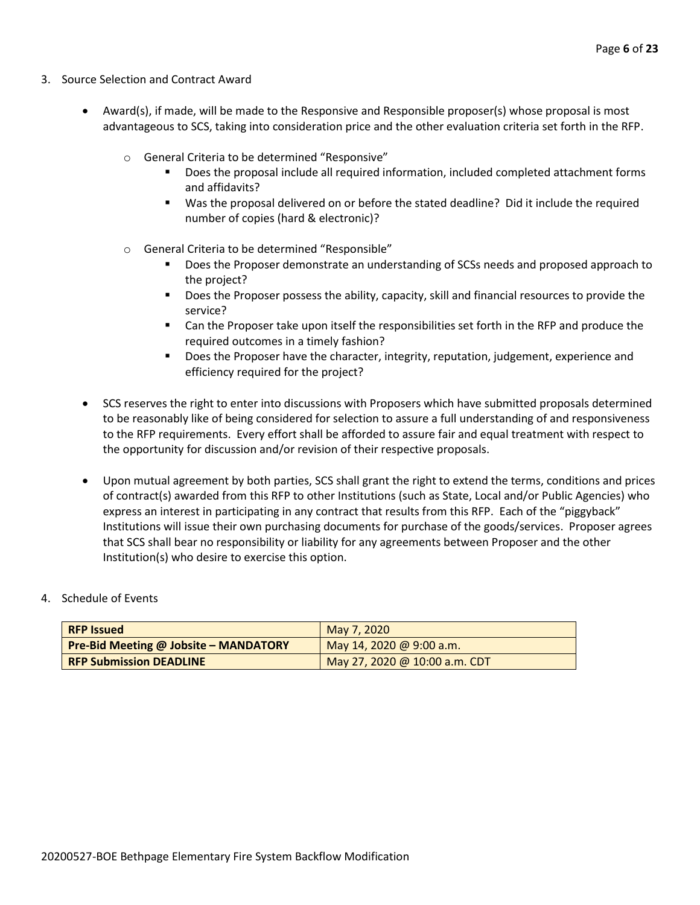- 3. Source Selection and Contract Award
	- Award(s), if made, will be made to the Responsive and Responsible proposer(s) whose proposal is most advantageous to SCS, taking into consideration price and the other evaluation criteria set forth in the RFP.
		- o General Criteria to be determined "Responsive"
			- Does the proposal include all required information, included completed attachment forms and affidavits?
			- Was the proposal delivered on or before the stated deadline? Did it include the required number of copies (hard & electronic)?
		- o General Criteria to be determined "Responsible"
			- Does the Proposer demonstrate an understanding of SCSs needs and proposed approach to the project?
			- Does the Proposer possess the ability, capacity, skill and financial resources to provide the service?
			- Can the Proposer take upon itself the responsibilities set forth in the RFP and produce the required outcomes in a timely fashion?
			- **■** Does the Proposer have the character, integrity, reputation, judgement, experience and efficiency required for the project?
	- SCS reserves the right to enter into discussions with Proposers which have submitted proposals determined to be reasonably like of being considered for selection to assure a full understanding of and responsiveness to the RFP requirements. Every effort shall be afforded to assure fair and equal treatment with respect to the opportunity for discussion and/or revision of their respective proposals.
	- Upon mutual agreement by both parties, SCS shall grant the right to extend the terms, conditions and prices of contract(s) awarded from this RFP to other Institutions (such as State, Local and/or Public Agencies) who express an interest in participating in any contract that results from this RFP. Each of the "piggyback" Institutions will issue their own purchasing documents for purchase of the goods/services. Proposer agrees that SCS shall bear no responsibility or liability for any agreements between Proposer and the other Institution(s) who desire to exercise this option.

#### 4. Schedule of Events

| <b>RFP Issued</b>                            | May 7, 2020                   |
|----------------------------------------------|-------------------------------|
| <b>Pre-Bid Meeting @ Jobsite - MANDATORY</b> | May 14, 2020 @ 9:00 a.m.      |
| <b>RFP Submission DEADLINE</b>               | May 27, 2020 @ 10:00 a.m. CDT |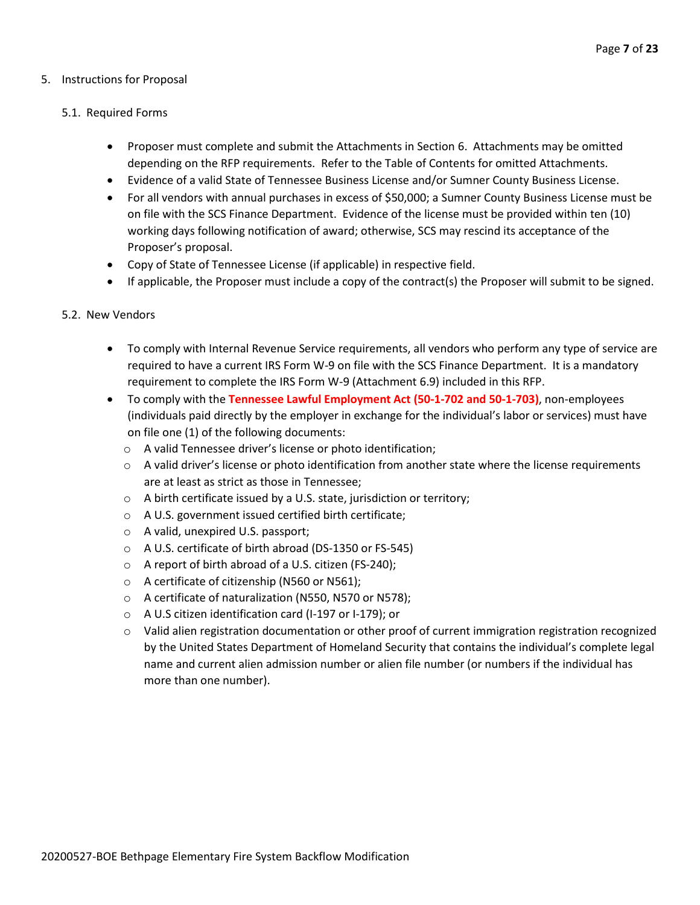#### 5. Instructions for Proposal

#### 5.1. Required Forms

- Proposer must complete and submit the Attachments in Section 6. Attachments may be omitted depending on the RFP requirements. Refer to the Table of Contents for omitted Attachments.
- Evidence of a valid State of Tennessee Business License and/or Sumner County Business License.
- For all vendors with annual purchases in excess of \$50,000; a Sumner County Business License must be on file with the SCS Finance Department. Evidence of the license must be provided within ten (10) working days following notification of award; otherwise, SCS may rescind its acceptance of the Proposer's proposal.
- Copy of State of Tennessee License (if applicable) in respective field.
- If applicable, the Proposer must include a copy of the contract(s) the Proposer will submit to be signed.

#### 5.2. New Vendors

- To comply with Internal Revenue Service requirements, all vendors who perform any type of service are required to have a current IRS Form W-9 on file with the SCS Finance Department. It is a mandatory requirement to complete the IRS Form W-9 (Attachment 6.9) included in this RFP.
- To comply with the **Tennessee Lawful Employment Act (50-1-702 and 50-1-703)**, non-employees (individuals paid directly by the employer in exchange for the individual's labor or services) must have on file one (1) of the following documents:
	- o A valid Tennessee driver's license or photo identification;
	- $\circ$  A valid driver's license or photo identification from another state where the license requirements are at least as strict as those in Tennessee;
	- o A birth certificate issued by a U.S. state, jurisdiction or territory;
	- o A U.S. government issued certified birth certificate;
	- o A valid, unexpired U.S. passport;
	- o A U.S. certificate of birth abroad (DS-1350 or FS-545)
	- o A report of birth abroad of a U.S. citizen (FS-240);
	- o A certificate of citizenship (N560 or N561);
	- o A certificate of naturalization (N550, N570 or N578);
	- o A U.S citizen identification card (I-197 or I-179); or
	- $\circ$  Valid alien registration documentation or other proof of current immigration registration recognized by the United States Department of Homeland Security that contains the individual's complete legal name and current alien admission number or alien file number (or numbers if the individual has more than one number).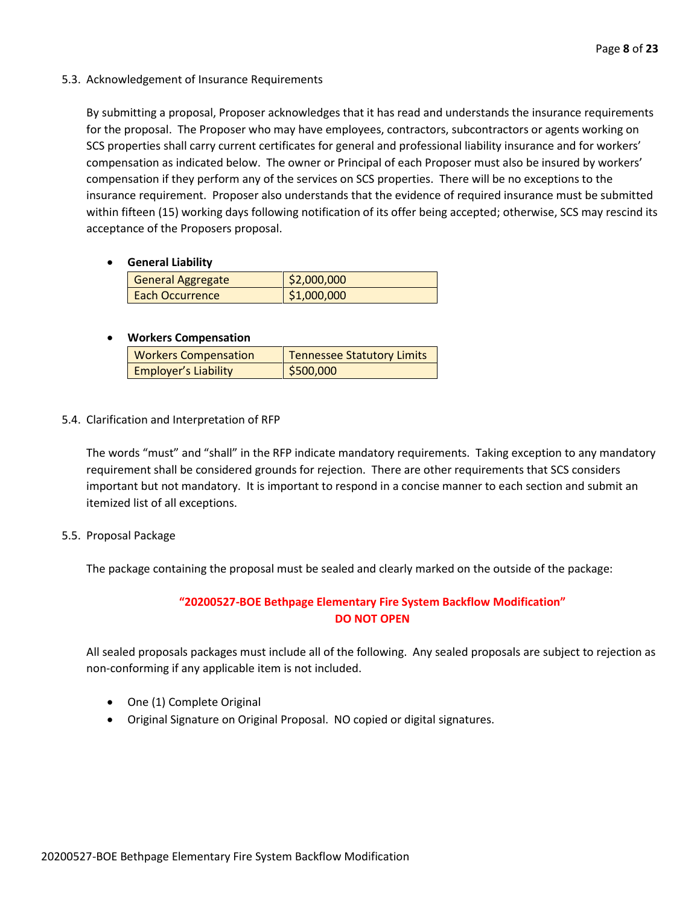5.3. Acknowledgement of Insurance Requirements

By submitting a proposal, Proposer acknowledges that it has read and understands the insurance requirements for the proposal. The Proposer who may have employees, contractors, subcontractors or agents working on SCS properties shall carry current certificates for general and professional liability insurance and for workers' compensation as indicated below. The owner or Principal of each Proposer must also be insured by workers' compensation if they perform any of the services on SCS properties. There will be no exceptions to the insurance requirement. Proposer also understands that the evidence of required insurance must be submitted within fifteen (15) working days following notification of its offer being accepted; otherwise, SCS may rescind its acceptance of the Proposers proposal.

• **General Liability**

| <b>General Aggregate</b> | \$2,000,000 |
|--------------------------|-------------|
| <b>Each Occurrence</b>   | \$1,000,000 |

#### • **Workers Compensation**

| <b>Workers Compensation</b> | <b>Tennessee Statutory Limits</b> |
|-----------------------------|-----------------------------------|
| <b>Employer's Liability</b> | \$500,000                         |

5.4. Clarification and Interpretation of RFP

The words "must" and "shall" in the RFP indicate mandatory requirements. Taking exception to any mandatory requirement shall be considered grounds for rejection. There are other requirements that SCS considers important but not mandatory. It is important to respond in a concise manner to each section and submit an itemized list of all exceptions.

5.5. Proposal Package

The package containing the proposal must be sealed and clearly marked on the outside of the package:

### **"20200527-BOE Bethpage Elementary Fire System Backflow Modification" DO NOT OPEN**

All sealed proposals packages must include all of the following. Any sealed proposals are subject to rejection as non-conforming if any applicable item is not included.

- One (1) Complete Original
- Original Signature on Original Proposal. NO copied or digital signatures.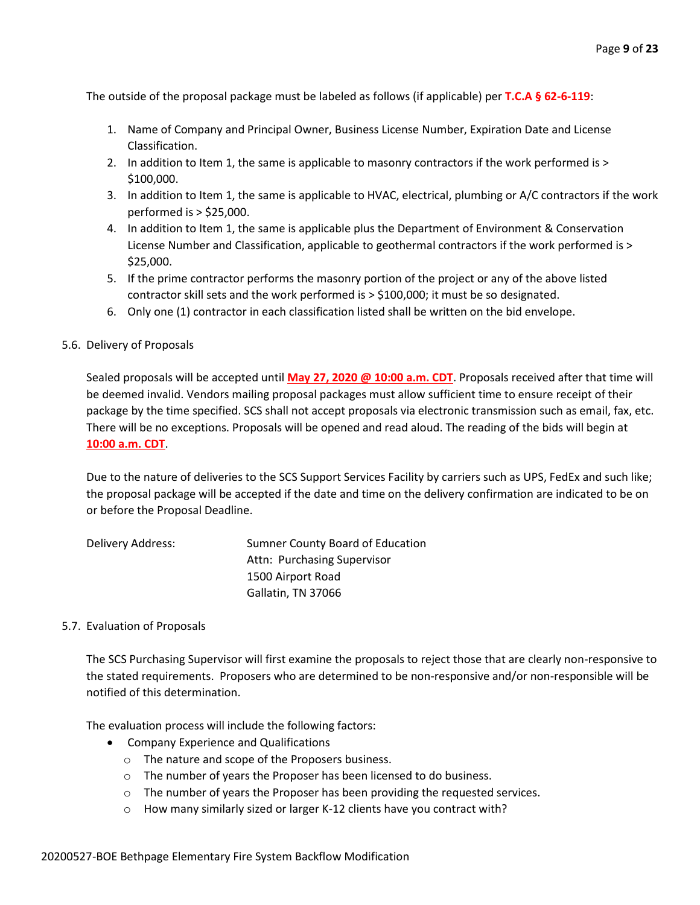The outside of the proposal package must be labeled as follows (if applicable) per **T.C.A § 62-6-119**:

- 1. Name of Company and Principal Owner, Business License Number, Expiration Date and License Classification.
- 2. In addition to Item 1, the same is applicable to masonry contractors if the work performed is > \$100,000.
- 3. In addition to Item 1, the same is applicable to HVAC, electrical, plumbing or A/C contractors if the work performed is > \$25,000.
- 4. In addition to Item 1, the same is applicable plus the Department of Environment & Conservation License Number and Classification, applicable to geothermal contractors if the work performed is > \$25,000.
- 5. If the prime contractor performs the masonry portion of the project or any of the above listed contractor skill sets and the work performed is > \$100,000; it must be so designated.
- 6. Only one (1) contractor in each classification listed shall be written on the bid envelope.

#### 5.6. Delivery of Proposals

Sealed proposals will be accepted until **May 27, 2020 @ 10:00 a.m. CDT**. Proposals received after that time will be deemed invalid. Vendors mailing proposal packages must allow sufficient time to ensure receipt of their package by the time specified. SCS shall not accept proposals via electronic transmission such as email, fax, etc. There will be no exceptions. Proposals will be opened and read aloud. The reading of the bids will begin at **10:00 a.m. CDT**.

Due to the nature of deliveries to the SCS Support Services Facility by carriers such as UPS, FedEx and such like; the proposal package will be accepted if the date and time on the delivery confirmation are indicated to be on or before the Proposal Deadline.

| Delivery Address: | Sumner County Board of Education |
|-------------------|----------------------------------|
|                   | Attn: Purchasing Supervisor      |
|                   | 1500 Airport Road                |
|                   | Gallatin, TN 37066               |

#### 5.7. Evaluation of Proposals

The SCS Purchasing Supervisor will first examine the proposals to reject those that are clearly non-responsive to the stated requirements. Proposers who are determined to be non-responsive and/or non-responsible will be notified of this determination.

The evaluation process will include the following factors:

- Company Experience and Qualifications
	- o The nature and scope of the Proposers business.
	- o The number of years the Proposer has been licensed to do business.
	- o The number of years the Proposer has been providing the requested services.
	- o How many similarly sized or larger K-12 clients have you contract with?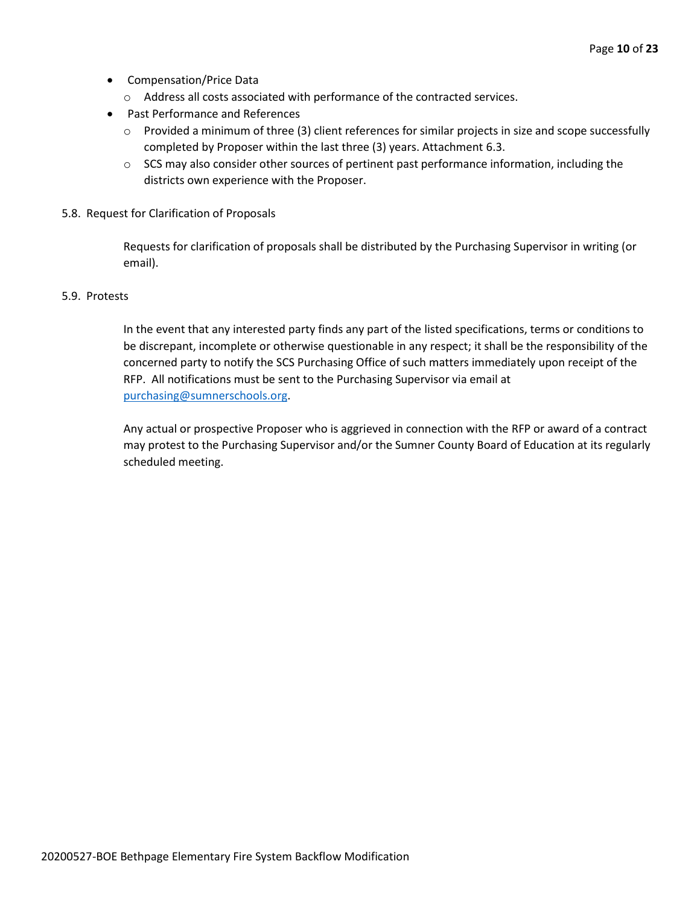- Compensation/Price Data
	- o Address all costs associated with performance of the contracted services.
- Past Performance and References
	- o Provided a minimum of three (3) client references for similar projects in size and scope successfully completed by Proposer within the last three (3) years. Attachment 6.3.
	- $\circ$  SCS may also consider other sources of pertinent past performance information, including the districts own experience with the Proposer.
- 5.8. Request for Clarification of Proposals

Requests for clarification of proposals shall be distributed by the Purchasing Supervisor in writing (or email).

#### 5.9. Protests

In the event that any interested party finds any part of the listed specifications, terms or conditions to be discrepant, incomplete or otherwise questionable in any respect; it shall be the responsibility of the concerned party to notify the SCS Purchasing Office of such matters immediately upon receipt of the RFP. All notifications must be sent to the Purchasing Supervisor via email at [purchasing@sumnerschools.org.](mailto:purchasing@sumnerschools.org)

Any actual or prospective Proposer who is aggrieved in connection with the RFP or award of a contract may protest to the Purchasing Supervisor and/or the Sumner County Board of Education at its regularly scheduled meeting.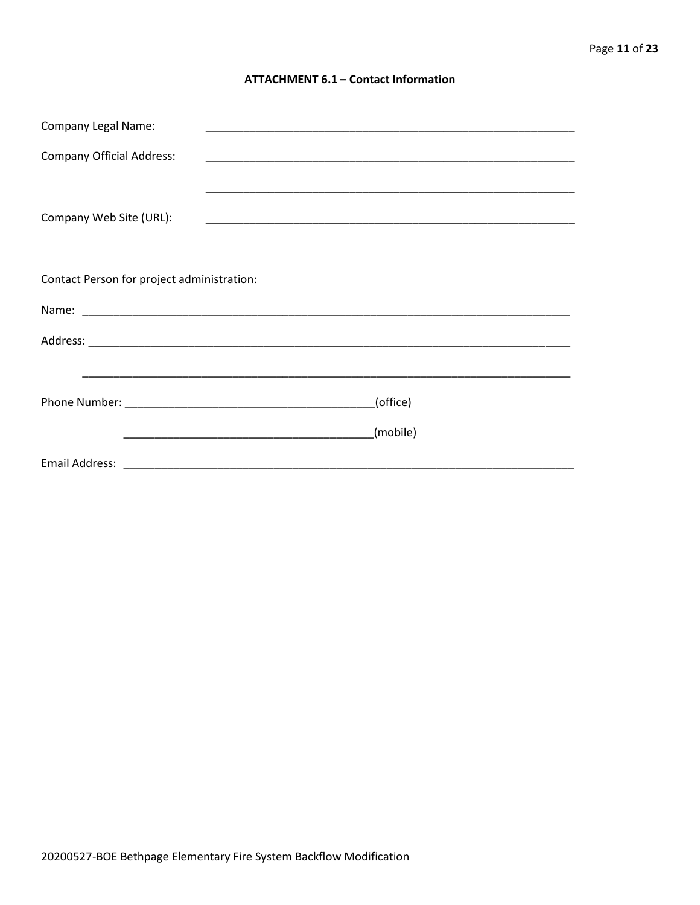#### **ATTACHMENT 6.1 - Contact Information**

| <b>Company Legal Name:</b>                 |          |
|--------------------------------------------|----------|
| <b>Company Official Address:</b>           |          |
|                                            |          |
| Company Web Site (URL):                    |          |
|                                            |          |
|                                            |          |
| Contact Person for project administration: |          |
|                                            |          |
|                                            |          |
|                                            |          |
|                                            | (office) |
|                                            |          |
|                                            | (mobile) |
|                                            |          |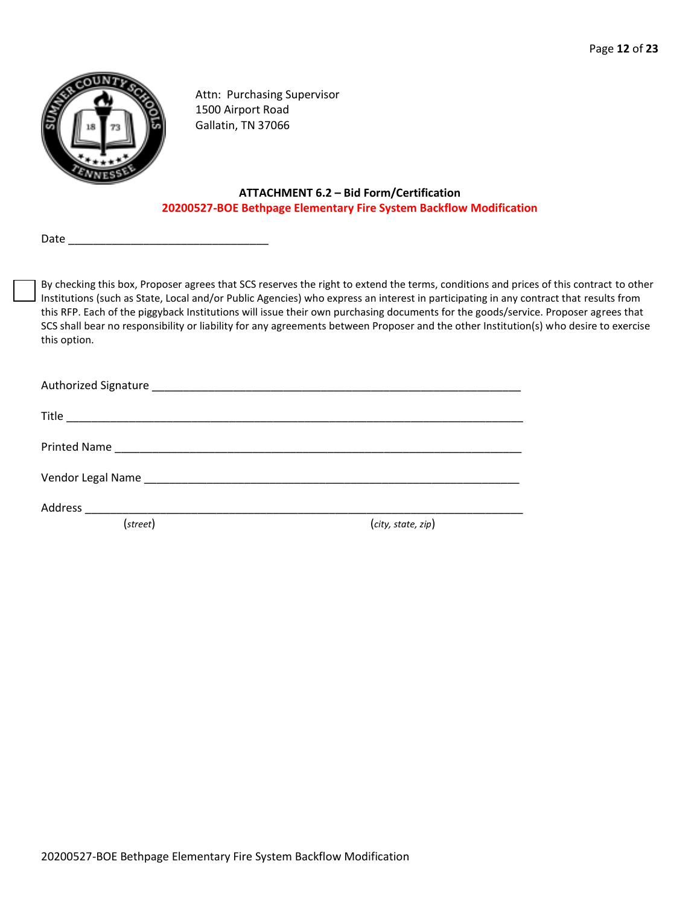

Attn: Purchasing Supervisor 1500 Airport Road Gallatin, TN 37066

#### **ATTACHMENT 6.2 – Bid Form/Certification 20200527-BOE Bethpage Elementary Fire System Backflow Modification**

Date

By checking this box, Proposer agrees that SCS reserves the right to extend the terms, conditions and prices of this contract to other Institutions (such as State, Local and/or Public Agencies) who express an interest in participating in any contract that results from this RFP. Each of the piggyback Institutions will issue their own purchasing documents for the goods/service. Proposer agrees that SCS shall bear no responsibility or liability for any agreements between Proposer and the other Institution(s) who desire to exercise this option.

| Address ___________________________ |                    |
|-------------------------------------|--------------------|
| (street)                            | (city, state, zip) |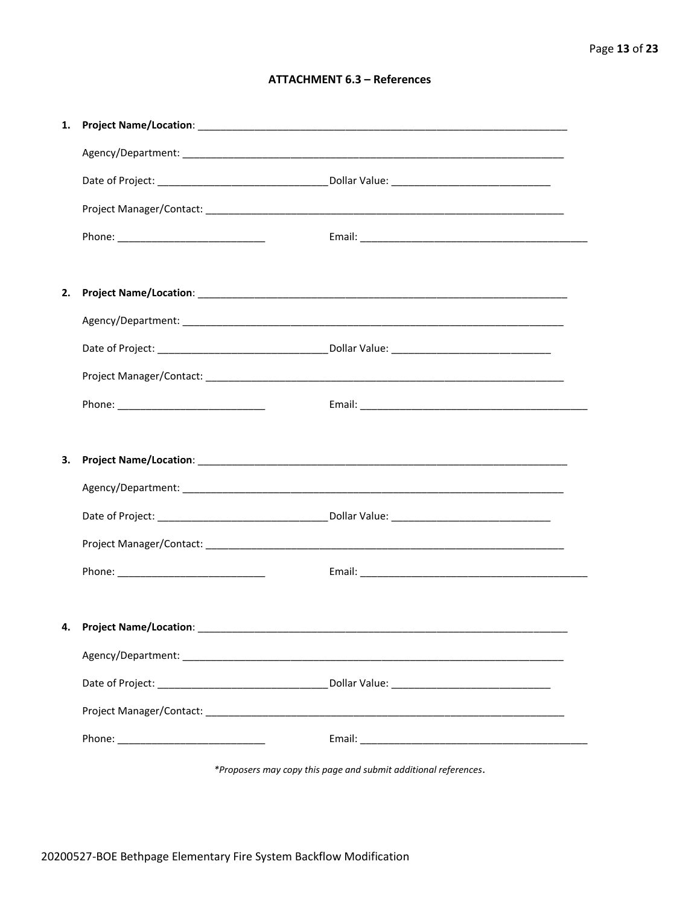#### **ATTACHMENT 6.3 - References**

| 1. |                                    |  |
|----|------------------------------------|--|
|    |                                    |  |
|    |                                    |  |
|    |                                    |  |
|    |                                    |  |
|    |                                    |  |
| 2. |                                    |  |
|    |                                    |  |
|    |                                    |  |
|    |                                    |  |
|    |                                    |  |
|    |                                    |  |
| З. |                                    |  |
|    |                                    |  |
|    |                                    |  |
|    |                                    |  |
|    |                                    |  |
|    |                                    |  |
|    | 4. Project Name/Location: ________ |  |
|    |                                    |  |
|    |                                    |  |
|    |                                    |  |
|    |                                    |  |
|    |                                    |  |

\*Proposers may copy this page and submit additional references.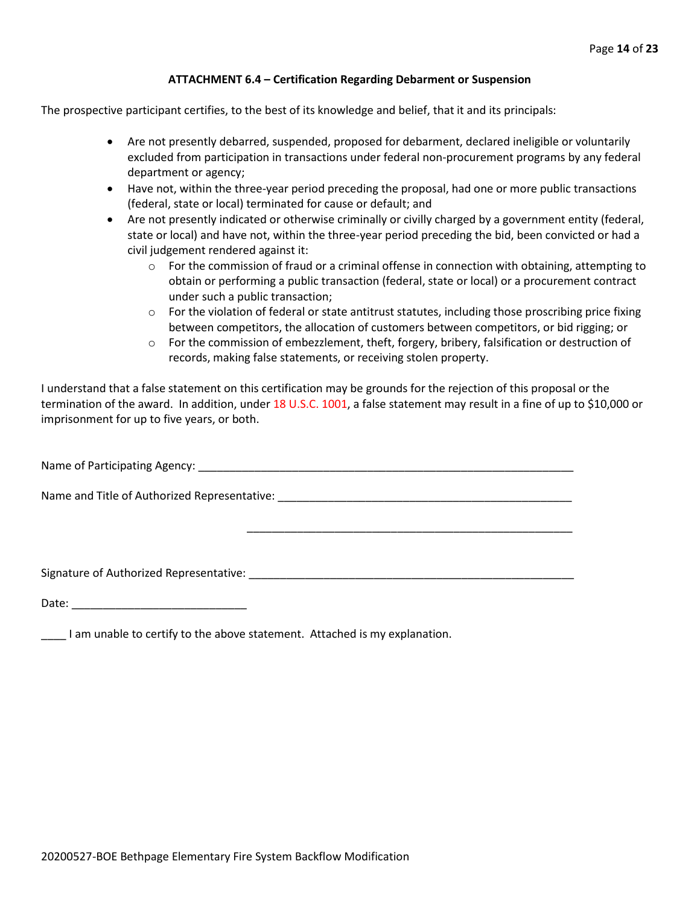#### **ATTACHMENT 6.4 – Certification Regarding Debarment or Suspension**

The prospective participant certifies, to the best of its knowledge and belief, that it and its principals:

- Are not presently debarred, suspended, proposed for debarment, declared ineligible or voluntarily excluded from participation in transactions under federal non-procurement programs by any federal department or agency;
- Have not, within the three-year period preceding the proposal, had one or more public transactions (federal, state or local) terminated for cause or default; and
- Are not presently indicated or otherwise criminally or civilly charged by a government entity (federal, state or local) and have not, within the three-year period preceding the bid, been convicted or had a civil judgement rendered against it:
	- $\circ$  For the commission of fraud or a criminal offense in connection with obtaining, attempting to obtain or performing a public transaction (federal, state or local) or a procurement contract under such a public transaction;
	- $\circ$  For the violation of federal or state antitrust statutes, including those proscribing price fixing between competitors, the allocation of customers between competitors, or bid rigging; or
	- $\circ$  For the commission of embezzlement, theft, forgery, bribery, falsification or destruction of records, making false statements, or receiving stolen property.

\_\_\_\_\_\_\_\_\_\_\_\_\_\_\_\_\_\_\_\_\_\_\_\_\_\_\_\_\_\_\_\_\_\_\_\_\_\_\_\_\_\_\_\_\_\_\_\_\_\_\_\_

I understand that a false statement on this certification may be grounds for the rejection of this proposal or the termination of the award. In addition, under 18 U.S.C. 1001, a false statement may result in a fine of up to \$10,000 or imprisonment for up to five years, or both.

Name of Participating Agency: \_\_\_\_\_\_\_\_\_\_\_\_\_\_\_\_\_\_\_\_\_\_\_\_\_\_\_\_\_\_\_\_\_\_\_\_\_\_\_\_\_\_\_\_\_\_\_\_\_\_\_\_\_\_\_\_\_\_\_\_

Name and Title of Authorized Representative: \_\_\_\_\_\_\_\_\_\_\_\_\_\_\_\_\_\_\_\_\_\_\_\_\_\_\_\_\_\_\_\_\_\_\_\_\_\_\_\_\_\_\_\_\_\_\_

Signature of Authorized Representative: \_\_\_\_\_\_\_\_\_\_\_\_\_\_\_\_\_\_\_\_\_\_\_\_\_\_\_\_\_\_\_\_\_\_\_\_\_\_\_\_\_\_\_\_\_\_\_\_\_\_\_\_

Date: \_\_\_\_\_\_\_\_\_\_\_\_\_\_\_\_\_\_\_\_\_\_\_\_\_\_\_\_

\_\_\_\_ I am unable to certify to the above statement. Attached is my explanation.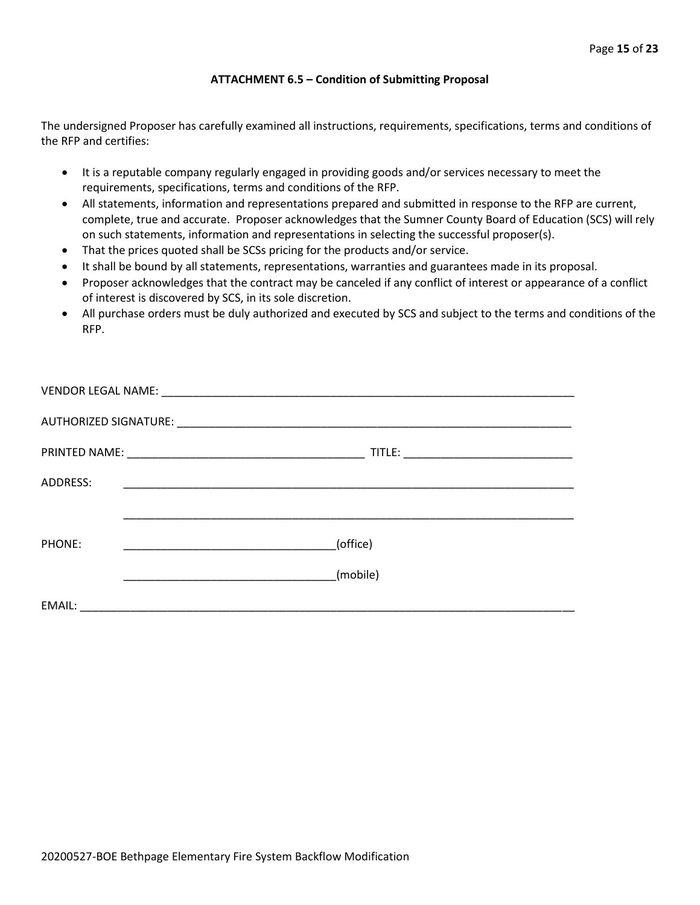#### **ATTACHMENT 6.5 – Condition of Submitting Proposal**

The undersigned Proposer has carefully examined all instructions, requirements, specifications, terms and conditions of the RFP and certifies:

- It is a reputable company regularly engaged in providing goods and/or services necessary to meet the requirements, specifications, terms and conditions of the RFP.
- All statements, information and representations prepared and submitted in response to the RFP are current, complete, true and accurate. Proposer acknowledges that the Sumner County Board of Education (SCS) will rely on such statements, information and representations in selecting the successful proposer(s).
- That the prices quoted shall be SCSs pricing for the products and/or service.
- It shall be bound by all statements, representations, warranties and guarantees made in its proposal.
- Proposer acknowledges that the contract may be canceled if any conflict of interest or appearance of a conflict of interest is discovered by SCS, in its sole discretion.
- All purchase orders must be duly authorized and executed by SCS and subject to the terms and conditions of the RFP.

| ADDRESS: | <u> 1989 - Johann John Stone, Amerikaansk politiker (* 1950)</u> |
|----------|------------------------------------------------------------------|
|          |                                                                  |
| PHONE:   | (office)<br><u> 1990 - Johann Barbara, martin a</u>              |
|          | (mobile)                                                         |
|          |                                                                  |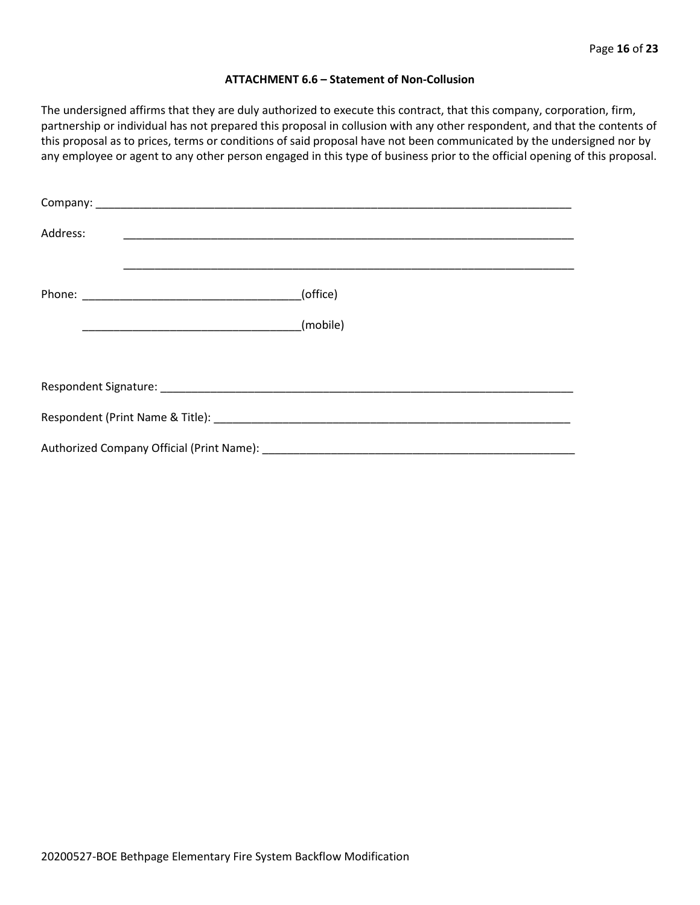#### **ATTACHMENT 6.6 – Statement of Non-Collusion**

The undersigned affirms that they are duly authorized to execute this contract, that this company, corporation, firm, partnership or individual has not prepared this proposal in collusion with any other respondent, and that the contents of this proposal as to prices, terms or conditions of said proposal have not been communicated by the undersigned nor by any employee or agent to any other person engaged in this type of business prior to the official opening of this proposal.

| Address: |          |  |  |  |  |  |
|----------|----------|--|--|--|--|--|
|          | (office) |  |  |  |  |  |
|          | (mobile) |  |  |  |  |  |
|          |          |  |  |  |  |  |
|          |          |  |  |  |  |  |
|          |          |  |  |  |  |  |
|          |          |  |  |  |  |  |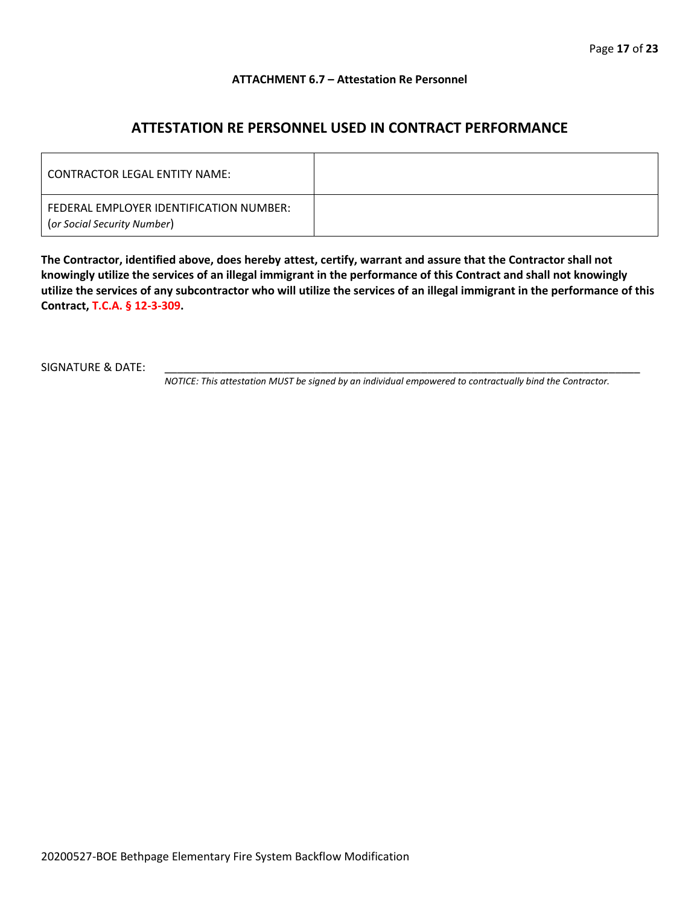#### **ATTACHMENT 6.7 – Attestation Re Personnel**

## **ATTESTATION RE PERSONNEL USED IN CONTRACT PERFORMANCE**

| CONTRACTOR LEGAL ENTITY NAME:                                          |  |
|------------------------------------------------------------------------|--|
| FEDERAL EMPLOYER IDENTIFICATION NUMBER:<br>(or Social Security Number) |  |

**The Contractor, identified above, does hereby attest, certify, warrant and assure that the Contractor shall not knowingly utilize the services of an illegal immigrant in the performance of this Contract and shall not knowingly utilize the services of any subcontractor who will utilize the services of an illegal immigrant in the performance of this Contract, T.C.A. § 12-3-309.**

SIGNATURE & DATE:

*NOTICE: This attestation MUST be signed by an individual empowered to contractually bind the Contractor.*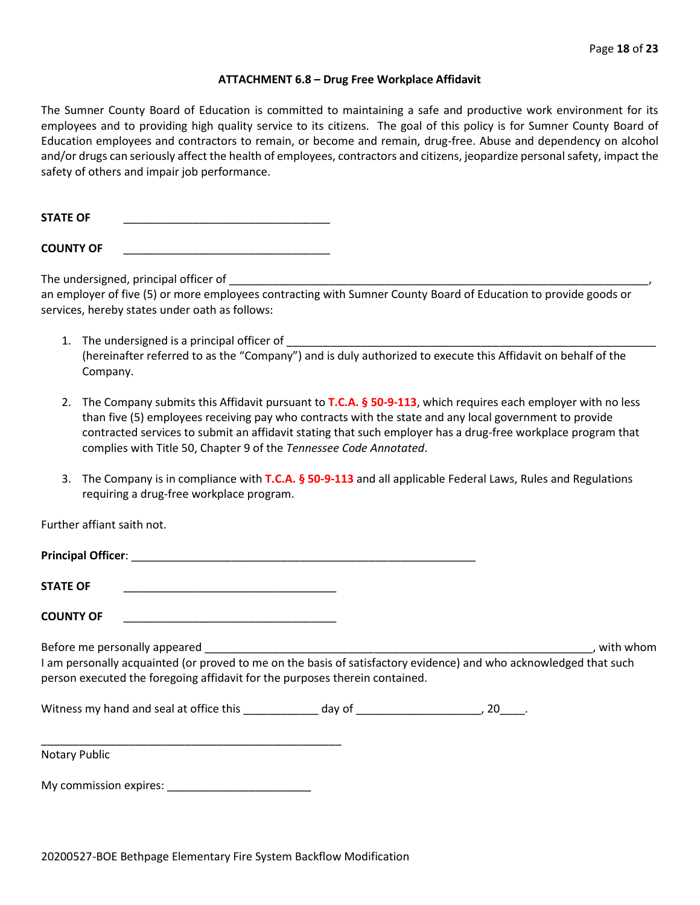#### **ATTACHMENT 6.8 – Drug Free Workplace Affidavit**

The Sumner County Board of Education is committed to maintaining a safe and productive work environment for its employees and to providing high quality service to its citizens. The goal of this policy is for Sumner County Board of Education employees and contractors to remain, or become and remain, drug-free. Abuse and dependency on alcohol and/or drugs can seriously affect the health of employees, contractors and citizens, jeopardize personal safety, impact the safety of others and impair job performance.

STATE OF

**COUNTY OF** \_\_\_\_\_\_\_\_\_\_\_\_\_\_\_\_\_\_\_\_\_\_\_\_\_\_\_\_\_\_\_\_\_

The undersigned, principal officer of

an employer of five (5) or more employees contracting with Sumner County Board of Education to provide goods or services, hereby states under oath as follows:

- 1. The undersigned is a principal officer of (hereinafter referred to as the "Company") and is duly authorized to execute this Affidavit on behalf of the Company.
- 2. The Company submits this Affidavit pursuant to **T.C.A. § 50-9-113**, which requires each employer with no less than five (5) employees receiving pay who contracts with the state and any local government to provide contracted services to submit an affidavit stating that such employer has a drug-free workplace program that complies with Title 50, Chapter 9 of the *Tennessee Code Annotated*.
- 3. The Company is in compliance with **T.C.A. § 50-9-113** and all applicable Federal Laws, Rules and Regulations requiring a drug-free workplace program.

Further affiant saith not.

| <b>Principal Officer:</b>                                                                                                                                        |           |
|------------------------------------------------------------------------------------------------------------------------------------------------------------------|-----------|
| <b>STATE OF</b>                                                                                                                                                  |           |
| <b>COUNTY OF</b>                                                                                                                                                 |           |
| Before me personally appeared<br>والمتحافظة المساويا التمسيانية والمارات المتحامل المتحافظ والمتحافظ والمعاونة والمستحيل والمستحدث والمستحدث والمستحدث والمستحدث | with whom |

I am personally acquainted (or proved to me on the basis of satisfactory evidence) and who acknowledged that such person executed the foregoing affidavit for the purposes therein contained.

Witness my hand and seal at office this \_\_\_\_\_\_\_\_\_\_\_\_\_ day of \_\_\_\_\_\_\_\_\_\_\_\_\_\_\_\_\_\_\_\_, 20\_\_\_\_.

\_\_\_\_\_\_\_\_\_\_\_\_\_\_\_\_\_\_\_\_\_\_\_\_\_\_\_\_\_\_\_\_\_\_\_\_\_\_\_\_\_\_\_\_\_\_\_\_ Notary Public

My commission expires: **Example 20**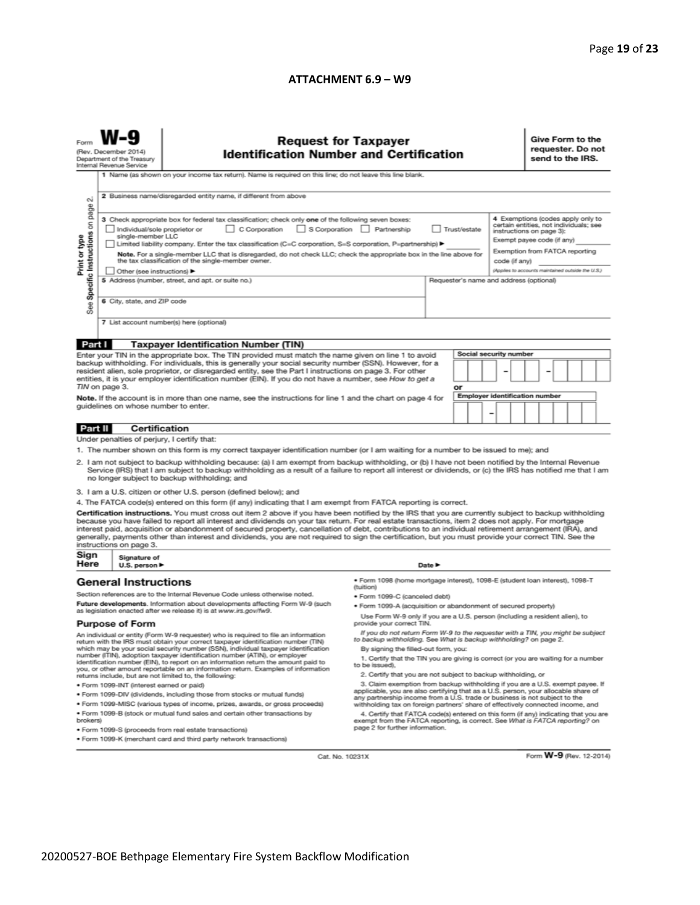#### **ATTACHMENT 6.9 – W9**

| <b>Request for Taxpayer</b><br>(Rev. December 2014)<br><b>Identification Number and Certification</b><br>Department of the Treasury<br>Internal Revenue Service<br>1 Name (as shown on your income tax return). Name is required on this line; do not leave this line blank.                                                                                                                                                                                                                                            |                                                                                                                                                                                                                                                                                                                                                                                                                                                                                                                       |                                                                                                                                                                                                        |                                                                                                                                                                                                                                                                                                                                                                                                                                                                                                                                                                                                                               |  |        |    |  |                        |                                                                                                                                                                                          | Give Form to the<br>requester. Do not<br>send to the IRS. |  |  |                         |  |  |  |
|-------------------------------------------------------------------------------------------------------------------------------------------------------------------------------------------------------------------------------------------------------------------------------------------------------------------------------------------------------------------------------------------------------------------------------------------------------------------------------------------------------------------------|-----------------------------------------------------------------------------------------------------------------------------------------------------------------------------------------------------------------------------------------------------------------------------------------------------------------------------------------------------------------------------------------------------------------------------------------------------------------------------------------------------------------------|--------------------------------------------------------------------------------------------------------------------------------------------------------------------------------------------------------|-------------------------------------------------------------------------------------------------------------------------------------------------------------------------------------------------------------------------------------------------------------------------------------------------------------------------------------------------------------------------------------------------------------------------------------------------------------------------------------------------------------------------------------------------------------------------------------------------------------------------------|--|--------|----|--|------------------------|------------------------------------------------------------------------------------------------------------------------------------------------------------------------------------------|-----------------------------------------------------------|--|--|-------------------------|--|--|--|
| 2 Business name/disregarded entity name, if different from above<br>σû                                                                                                                                                                                                                                                                                                                                                                                                                                                  |                                                                                                                                                                                                                                                                                                                                                                                                                                                                                                                       |                                                                                                                                                                                                        |                                                                                                                                                                                                                                                                                                                                                                                                                                                                                                                                                                                                                               |  |        |    |  |                        |                                                                                                                                                                                          |                                                           |  |  |                         |  |  |  |
| Specific Instructions on page<br>Print or type                                                                                                                                                                                                                                                                                                                                                                                                                                                                          | 3 Check appropriate box for federal tax classification; check only one of the following seven boxes:<br>C Corporation<br>S Corporation Partnership<br>Trust/estate<br>Individual/sole proprietor or<br>single-member LLC<br>Limited liability company. Enter the tax classification (C=C corporation, S=S corporation, P=partnership) ▶<br>Note. For a single-member LLC that is disregarded, do not check LLC; check the appropriate box in the line above for<br>the tax classification of the single-member owner. |                                                                                                                                                                                                        |                                                                                                                                                                                                                                                                                                                                                                                                                                                                                                                                                                                                                               |  |        |    |  |                        | 4 Exemptions (codes apply only to<br>certain entities, not individuals; see<br>instructions on page 3):<br>Exempt payee code (if any)<br>Exemption from FATCA reporting<br>code (if any) |                                                           |  |  |                         |  |  |  |
|                                                                                                                                                                                                                                                                                                                                                                                                                                                                                                                         |                                                                                                                                                                                                                                                                                                                                                                                                                                                                                                                       | Other (see instructions) ▶<br>5 Address (number, street, and apt. or suite no.)                                                                                                                        |                                                                                                                                                                                                                                                                                                                                                                                                                                                                                                                                                                                                                               |  |        |    |  |                        | (Applies to accounts maintained outside the U.S.)                                                                                                                                        |                                                           |  |  |                         |  |  |  |
|                                                                                                                                                                                                                                                                                                                                                                                                                                                                                                                         | Requester's name and address (optional)<br>6 City, state, and ZIP code                                                                                                                                                                                                                                                                                                                                                                                                                                                |                                                                                                                                                                                                        |                                                                                                                                                                                                                                                                                                                                                                                                                                                                                                                                                                                                                               |  |        |    |  |                        |                                                                                                                                                                                          |                                                           |  |  |                         |  |  |  |
| See                                                                                                                                                                                                                                                                                                                                                                                                                                                                                                                     |                                                                                                                                                                                                                                                                                                                                                                                                                                                                                                                       |                                                                                                                                                                                                        |                                                                                                                                                                                                                                                                                                                                                                                                                                                                                                                                                                                                                               |  |        |    |  |                        |                                                                                                                                                                                          |                                                           |  |  |                         |  |  |  |
|                                                                                                                                                                                                                                                                                                                                                                                                                                                                                                                         |                                                                                                                                                                                                                                                                                                                                                                                                                                                                                                                       |                                                                                                                                                                                                        | 7 List account number(s) here (optional)                                                                                                                                                                                                                                                                                                                                                                                                                                                                                                                                                                                      |  |        |    |  |                        |                                                                                                                                                                                          |                                                           |  |  |                         |  |  |  |
| Part I                                                                                                                                                                                                                                                                                                                                                                                                                                                                                                                  |                                                                                                                                                                                                                                                                                                                                                                                                                                                                                                                       |                                                                                                                                                                                                        | <b>Taxpayer Identification Number (TIN)</b>                                                                                                                                                                                                                                                                                                                                                                                                                                                                                                                                                                                   |  |        |    |  |                        |                                                                                                                                                                                          |                                                           |  |  |                         |  |  |  |
| Enter your TIN in the appropriate box. The TIN provided must match the name given on line 1 to avoid<br>backup withholding. For individuals, this is generally your social security number (SSN). However, for a<br>resident alien, sole proprietor, or disregarded entity, see the Part I instructions on page 3. For other                                                                                                                                                                                            |                                                                                                                                                                                                                                                                                                                                                                                                                                                                                                                       |                                                                                                                                                                                                        |                                                                                                                                                                                                                                                                                                                                                                                                                                                                                                                                                                                                                               |  |        |    |  | Social security number |                                                                                                                                                                                          |                                                           |  |  |                         |  |  |  |
|                                                                                                                                                                                                                                                                                                                                                                                                                                                                                                                         | TIN on page 3.                                                                                                                                                                                                                                                                                                                                                                                                                                                                                                        |                                                                                                                                                                                                        | entities, it is your employer identification number (EIN). If you do not have a number, see How to get a                                                                                                                                                                                                                                                                                                                                                                                                                                                                                                                      |  |        | or |  |                        |                                                                                                                                                                                          |                                                           |  |  |                         |  |  |  |
|                                                                                                                                                                                                                                                                                                                                                                                                                                                                                                                         |                                                                                                                                                                                                                                                                                                                                                                                                                                                                                                                       |                                                                                                                                                                                                        | Note. If the account is in more than one name, see the instructions for line 1 and the chart on page 4 for                                                                                                                                                                                                                                                                                                                                                                                                                                                                                                                    |  |        |    |  |                        | <b>Employer identification number</b>                                                                                                                                                    |                                                           |  |  |                         |  |  |  |
|                                                                                                                                                                                                                                                                                                                                                                                                                                                                                                                         |                                                                                                                                                                                                                                                                                                                                                                                                                                                                                                                       |                                                                                                                                                                                                        | guidelines on whose number to enter.                                                                                                                                                                                                                                                                                                                                                                                                                                                                                                                                                                                          |  |        |    |  | ۰                      |                                                                                                                                                                                          |                                                           |  |  |                         |  |  |  |
| Part II                                                                                                                                                                                                                                                                                                                                                                                                                                                                                                                 |                                                                                                                                                                                                                                                                                                                                                                                                                                                                                                                       |                                                                                                                                                                                                        | <b>Certification</b>                                                                                                                                                                                                                                                                                                                                                                                                                                                                                                                                                                                                          |  |        |    |  |                        |                                                                                                                                                                                          |                                                           |  |  |                         |  |  |  |
|                                                                                                                                                                                                                                                                                                                                                                                                                                                                                                                         |                                                                                                                                                                                                                                                                                                                                                                                                                                                                                                                       |                                                                                                                                                                                                        | Under penalties of perjury, I certify that:                                                                                                                                                                                                                                                                                                                                                                                                                                                                                                                                                                                   |  |        |    |  |                        |                                                                                                                                                                                          |                                                           |  |  |                         |  |  |  |
|                                                                                                                                                                                                                                                                                                                                                                                                                                                                                                                         |                                                                                                                                                                                                                                                                                                                                                                                                                                                                                                                       |                                                                                                                                                                                                        | 1. The number shown on this form is my correct taxpayer identification number (or I am waiting for a number to be issued to me); and                                                                                                                                                                                                                                                                                                                                                                                                                                                                                          |  |        |    |  |                        |                                                                                                                                                                                          |                                                           |  |  |                         |  |  |  |
| 2. I am not subject to backup withholding because: (a) I am exempt from backup withholding, or (b) I have not been notified by the Internal Revenue<br>Service (IRS) that I am subject to backup withholding as a result of a failure to report all interest or dividends, or (c) the IRS has notified me that I am<br>no longer subject to backup withholding; and                                                                                                                                                     |                                                                                                                                                                                                                                                                                                                                                                                                                                                                                                                       |                                                                                                                                                                                                        |                                                                                                                                                                                                                                                                                                                                                                                                                                                                                                                                                                                                                               |  |        |    |  |                        |                                                                                                                                                                                          |                                                           |  |  |                         |  |  |  |
|                                                                                                                                                                                                                                                                                                                                                                                                                                                                                                                         |                                                                                                                                                                                                                                                                                                                                                                                                                                                                                                                       |                                                                                                                                                                                                        | 3. I am a U.S. citizen or other U.S. person (defined below); and                                                                                                                                                                                                                                                                                                                                                                                                                                                                                                                                                              |  |        |    |  |                        |                                                                                                                                                                                          |                                                           |  |  |                         |  |  |  |
|                                                                                                                                                                                                                                                                                                                                                                                                                                                                                                                         |                                                                                                                                                                                                                                                                                                                                                                                                                                                                                                                       |                                                                                                                                                                                                        | 4. The FATCA code(s) entered on this form (if any) indicating that I am exempt from FATCA reporting is correct.                                                                                                                                                                                                                                                                                                                                                                                                                                                                                                               |  |        |    |  |                        |                                                                                                                                                                                          |                                                           |  |  |                         |  |  |  |
| Sign                                                                                                                                                                                                                                                                                                                                                                                                                                                                                                                    | instructions on page 3.                                                                                                                                                                                                                                                                                                                                                                                                                                                                                               | Signature of                                                                                                                                                                                           | Certification instructions. You must cross out item 2 above if you have been notified by the IRS that you are currently subject to backup withholding<br>because you have failed to report all interest and dividends on your tax return. For real estate transactions, item 2 does not apply. For mortgage<br>interest paid, acquisition or abandonment of secured property, cancellation of debt, contributions to an individual retirement arrangement (IRA), and<br>generally, payments other than interest and dividends, you are not required to sign the certification, but you must provide your correct TIN. See the |  |        |    |  |                        |                                                                                                                                                                                          |                                                           |  |  |                         |  |  |  |
| Here                                                                                                                                                                                                                                                                                                                                                                                                                                                                                                                    |                                                                                                                                                                                                                                                                                                                                                                                                                                                                                                                       | U.S. person ▶                                                                                                                                                                                          |                                                                                                                                                                                                                                                                                                                                                                                                                                                                                                                                                                                                                               |  | Date P |    |  |                        |                                                                                                                                                                                          |                                                           |  |  |                         |  |  |  |
| <b>General Instructions</b>                                                                                                                                                                                                                                                                                                                                                                                                                                                                                             |                                                                                                                                                                                                                                                                                                                                                                                                                                                                                                                       |                                                                                                                                                                                                        | · Form 1098 (home mortgage interest), 1098-E (student loan interest), 1098-T<br>(tuition)                                                                                                                                                                                                                                                                                                                                                                                                                                                                                                                                     |  |        |    |  |                        |                                                                                                                                                                                          |                                                           |  |  |                         |  |  |  |
| Section references are to the Internal Revenue Code unless otherwise noted.<br>Future developments. Information about developments affecting Form W-9 (such<br>as legislation enacted after we release it) is at www.irs.gov/fw9.                                                                                                                                                                                                                                                                                       |                                                                                                                                                                                                                                                                                                                                                                                                                                                                                                                       | • Form 1099-C (canceled debt)                                                                                                                                                                          |                                                                                                                                                                                                                                                                                                                                                                                                                                                                                                                                                                                                                               |  |        |    |  |                        |                                                                                                                                                                                          |                                                           |  |  |                         |  |  |  |
|                                                                                                                                                                                                                                                                                                                                                                                                                                                                                                                         |                                                                                                                                                                                                                                                                                                                                                                                                                                                                                                                       | · Form 1099-A (acquisition or abandonment of secured property)                                                                                                                                         |                                                                                                                                                                                                                                                                                                                                                                                                                                                                                                                                                                                                                               |  |        |    |  |                        |                                                                                                                                                                                          |                                                           |  |  |                         |  |  |  |
| <b>Purpose of Form</b>                                                                                                                                                                                                                                                                                                                                                                                                                                                                                                  |                                                                                                                                                                                                                                                                                                                                                                                                                                                                                                                       | Use Form W-9 only if you are a U.S. person (including a resident alien), to<br>provide your correct TIN.<br>If you do not return Form W-9 to the requester with a TIN, you might be subject            |                                                                                                                                                                                                                                                                                                                                                                                                                                                                                                                                                                                                                               |  |        |    |  |                        |                                                                                                                                                                                          |                                                           |  |  |                         |  |  |  |
| An individual or entity (Form W-9 requester) who is required to file an information<br>return with the IRS must obtain your correct taxpayer identification number (TIN)<br>which may be your social security number (SSN), individual taxpayer identification<br>number (ITIN), adoption taxpayer identification number (ATIN), or employer<br>identification number (EIN), to report on an information return the amount paid to<br>you, or other amount reportable on an information return. Examples of information |                                                                                                                                                                                                                                                                                                                                                                                                                                                                                                                       | to backup withholding. See What is backup withholding? on page 2.                                                                                                                                      |                                                                                                                                                                                                                                                                                                                                                                                                                                                                                                                                                                                                                               |  |        |    |  |                        |                                                                                                                                                                                          |                                                           |  |  |                         |  |  |  |
|                                                                                                                                                                                                                                                                                                                                                                                                                                                                                                                         |                                                                                                                                                                                                                                                                                                                                                                                                                                                                                                                       | By signing the filled-out form, you:<br>1. Certify that the TIN you are giving is correct (or you are waiting for a number<br>to be issued).                                                           |                                                                                                                                                                                                                                                                                                                                                                                                                                                                                                                                                                                                                               |  |        |    |  |                        |                                                                                                                                                                                          |                                                           |  |  |                         |  |  |  |
| returns include, but are not limited to, the following:                                                                                                                                                                                                                                                                                                                                                                                                                                                                 |                                                                                                                                                                                                                                                                                                                                                                                                                                                                                                                       | 2. Certify that you are not subject to backup withholding, or                                                                                                                                          |                                                                                                                                                                                                                                                                                                                                                                                                                                                                                                                                                                                                                               |  |        |    |  |                        |                                                                                                                                                                                          |                                                           |  |  |                         |  |  |  |
| · Form 1099-INT (interest earned or paid)<br>. Form 1099-DIV (dividends, including those from stocks or mutual funds)                                                                                                                                                                                                                                                                                                                                                                                                   |                                                                                                                                                                                                                                                                                                                                                                                                                                                                                                                       |                                                                                                                                                                                                        | 3. Claim exemption from backup withholding if you are a U.S. exempt payee. If<br>applicable, you are also certifying that as a U.S. person, your allocable share of                                                                                                                                                                                                                                                                                                                                                                                                                                                           |  |        |    |  |                        |                                                                                                                                                                                          |                                                           |  |  |                         |  |  |  |
| . Form 1099-MISC (various types of income, prizes, awards, or gross proceeds)                                                                                                                                                                                                                                                                                                                                                                                                                                           |                                                                                                                                                                                                                                                                                                                                                                                                                                                                                                                       |                                                                                                                                                                                                        | any partnership income from a U.S. trade or business is not subject to the<br>withholding tax on foreign partners' share of effectively connected income, and                                                                                                                                                                                                                                                                                                                                                                                                                                                                 |  |        |    |  |                        |                                                                                                                                                                                          |                                                           |  |  |                         |  |  |  |
| . Form 1099-B (stock or mutual fund sales and certain other transactions by<br>brokers)                                                                                                                                                                                                                                                                                                                                                                                                                                 |                                                                                                                                                                                                                                                                                                                                                                                                                                                                                                                       | 4. Certify that FATCA code(s) entered on this form (if any) indicating that you are<br>exempt from the FATCA reporting, is correct. See What is FATCA reporting? on<br>page 2 for further information. |                                                                                                                                                                                                                                                                                                                                                                                                                                                                                                                                                                                                                               |  |        |    |  |                        |                                                                                                                                                                                          |                                                           |  |  |                         |  |  |  |
|                                                                                                                                                                                                                                                                                                                                                                                                                                                                                                                         | · Form 1099-S (proceeds from real estate transactions)<br>. Form 1099-K (merchant card and third party network transactions)                                                                                                                                                                                                                                                                                                                                                                                          |                                                                                                                                                                                                        |                                                                                                                                                                                                                                                                                                                                                                                                                                                                                                                                                                                                                               |  |        |    |  |                        |                                                                                                                                                                                          |                                                           |  |  |                         |  |  |  |
|                                                                                                                                                                                                                                                                                                                                                                                                                                                                                                                         |                                                                                                                                                                                                                                                                                                                                                                                                                                                                                                                       |                                                                                                                                                                                                        |                                                                                                                                                                                                                                                                                                                                                                                                                                                                                                                                                                                                                               |  |        |    |  |                        |                                                                                                                                                                                          |                                                           |  |  |                         |  |  |  |
|                                                                                                                                                                                                                                                                                                                                                                                                                                                                                                                         |                                                                                                                                                                                                                                                                                                                                                                                                                                                                                                                       |                                                                                                                                                                                                        | Cat. No. 10231X                                                                                                                                                                                                                                                                                                                                                                                                                                                                                                                                                                                                               |  |        |    |  |                        |                                                                                                                                                                                          |                                                           |  |  | Form W-9 (Rev. 12-2014) |  |  |  |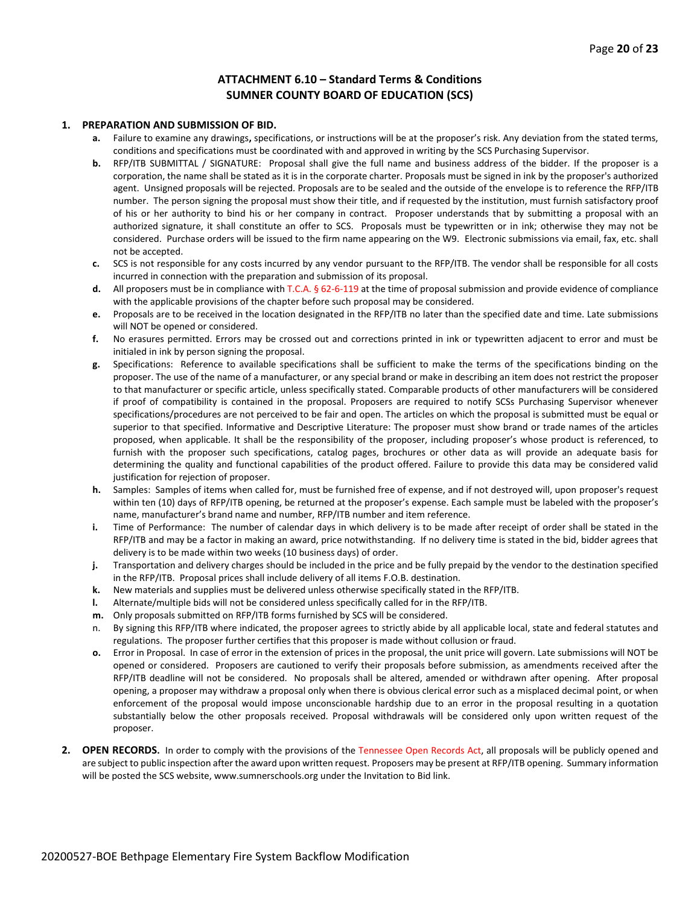#### **ATTACHMENT 6.10 – Standard Terms & Conditions SUMNER COUNTY BOARD OF EDUCATION (SCS)**

#### **1. PREPARATION AND SUBMISSION OF BID.**

- **a.** Failure to examine any drawings**,** specifications, or instructions will be at the proposer's risk. Any deviation from the stated terms, conditions and specifications must be coordinated with and approved in writing by the SCS Purchasing Supervisor.
- **b.** RFP/ITB SUBMITTAL / SIGNATURE: Proposal shall give the full name and business address of the bidder. If the proposer is a corporation, the name shall be stated as it is in the corporate charter. Proposals must be signed in ink by the proposer's authorized agent. Unsigned proposals will be rejected. Proposals are to be sealed and the outside of the envelope is to reference the RFP/ITB number. The person signing the proposal must show their title, and if requested by the institution, must furnish satisfactory proof of his or her authority to bind his or her company in contract. Proposer understands that by submitting a proposal with an authorized signature, it shall constitute an offer to SCS. Proposals must be typewritten or in ink; otherwise they may not be considered. Purchase orders will be issued to the firm name appearing on the W9. Electronic submissions via email, fax, etc. shall not be accepted.
- **c.** SCS is not responsible for any costs incurred by any vendor pursuant to the RFP/ITB. The vendor shall be responsible for all costs incurred in connection with the preparation and submission of its proposal.
- **d.** All proposers must be in compliance with T.C.A. § 62-6-119 at the time of proposal submission and provide evidence of compliance with the applicable provisions of the chapter before such proposal may be considered.
- **e.** Proposals are to be received in the location designated in the RFP/ITB no later than the specified date and time. Late submissions will NOT be opened or considered.
- **f.** No erasures permitted. Errors may be crossed out and corrections printed in ink or typewritten adjacent to error and must be initialed in ink by person signing the proposal.
- **g.** Specifications: Reference to available specifications shall be sufficient to make the terms of the specifications binding on the proposer. The use of the name of a manufacturer, or any special brand or make in describing an item does not restrict the proposer to that manufacturer or specific article, unless specifically stated. Comparable products of other manufacturers will be considered if proof of compatibility is contained in the proposal. Proposers are required to notify SCSs Purchasing Supervisor whenever specifications/procedures are not perceived to be fair and open. The articles on which the proposal is submitted must be equal or superior to that specified. Informative and Descriptive Literature: The proposer must show brand or trade names of the articles proposed, when applicable. It shall be the responsibility of the proposer, including proposer's whose product is referenced, to furnish with the proposer such specifications, catalog pages, brochures or other data as will provide an adequate basis for determining the quality and functional capabilities of the product offered. Failure to provide this data may be considered valid justification for rejection of proposer.
- **h.** Samples: Samples of items when called for, must be furnished free of expense, and if not destroyed will, upon proposer's request within ten (10) days of RFP/ITB opening, be returned at the proposer's expense. Each sample must be labeled with the proposer's name, manufacturer's brand name and number, RFP/ITB number and item reference.
- **i.** Time of Performance: The number of calendar days in which delivery is to be made after receipt of order shall be stated in the RFP/ITB and may be a factor in making an award, price notwithstanding. If no delivery time is stated in the bid, bidder agrees that delivery is to be made within two weeks (10 business days) of order.
- **j.** Transportation and delivery charges should be included in the price and be fully prepaid by the vendor to the destination specified in the RFP/ITB. Proposal prices shall include delivery of all items F.O.B. destination.
- **k.** New materials and supplies must be delivered unless otherwise specifically stated in the RFP/ITB.
- **l.** Alternate/multiple bids will not be considered unless specifically called for in the RFP/ITB.
- **m.** Only proposals submitted on RFP/ITB forms furnished by SCS will be considered.
- n. By signing this RFP/ITB where indicated, the proposer agrees to strictly abide by all applicable local, state and federal statutes and regulations. The proposer further certifies that this proposer is made without collusion or fraud.
- **o.** Error in Proposal. In case of error in the extension of prices in the proposal, the unit price will govern. Late submissions will NOT be opened or considered. Proposers are cautioned to verify their proposals before submission, as amendments received after the RFP/ITB deadline will not be considered. No proposals shall be altered, amended or withdrawn after opening. After proposal opening, a proposer may withdraw a proposal only when there is obvious clerical error such as a misplaced decimal point, or when enforcement of the proposal would impose unconscionable hardship due to an error in the proposal resulting in a quotation substantially below the other proposals received. Proposal withdrawals will be considered only upon written request of the proposer.
- **2. OPEN RECORDS.** In order to comply with the provisions of the Tennessee Open Records Act, all proposals will be publicly opened and are subject to public inspection after the award upon written request. Proposers may be present at RFP/ITB opening. Summary information will be posted the SCS website, www.sumnerschools.org under the Invitation to Bid link.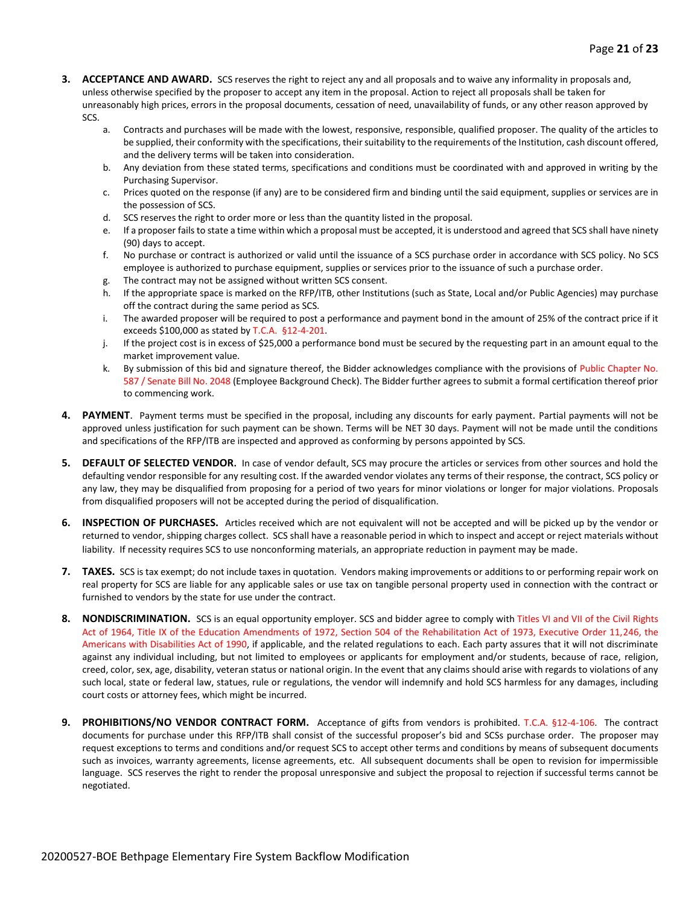- **3. ACCEPTANCE AND AWARD.** SCS reserves the right to reject any and all proposals and to waive any informality in proposals and, unless otherwise specified by the proposer to accept any item in the proposal. Action to reject all proposals shall be taken for unreasonably high prices, errors in the proposal documents, cessation of need, unavailability of funds, or any other reason approved by SCS.
	- a. Contracts and purchases will be made with the lowest, responsive, responsible, qualified proposer. The quality of the articles to be supplied, their conformity with the specifications, their suitability to the requirements of the Institution, cash discount offered, and the delivery terms will be taken into consideration.
	- b. Any deviation from these stated terms, specifications and conditions must be coordinated with and approved in writing by the Purchasing Supervisor.
	- c. Prices quoted on the response (if any) are to be considered firm and binding until the said equipment, supplies or services are in the possession of SCS.
	- d. SCS reserves the right to order more or less than the quantity listed in the proposal.
	- e. If a proposer fails to state a time within which a proposal must be accepted, it is understood and agreed that SCS shall have ninety (90) days to accept.
	- f. No purchase or contract is authorized or valid until the issuance of a SCS purchase order in accordance with SCS policy. No SCS employee is authorized to purchase equipment, supplies or services prior to the issuance of such a purchase order.
	- g. The contract may not be assigned without written SCS consent.
	- h. If the appropriate space is marked on the RFP/ITB, other Institutions (such as State, Local and/or Public Agencies) may purchase off the contract during the same period as SCS.
	- i. The awarded proposer will be required to post a performance and payment bond in the amount of 25% of the contract price if it exceeds \$100,000 as stated by T.C.A. §12-4-201.
	- j. If the project cost is in excess of \$25,000 a performance bond must be secured by the requesting part in an amount equal to the market improvement value.
	- k. By submission of this bid and signature thereof, the Bidder acknowledges compliance with the provisions of Public Chapter No. 587 / Senate Bill No. 2048 (Employee Background Check). The Bidder further agrees to submit a formal certification thereof prior to commencing work.
- **4. PAYMENT**. Payment terms must be specified in the proposal, including any discounts for early payment. Partial payments will not be approved unless justification for such payment can be shown. Terms will be NET 30 days. Payment will not be made until the conditions and specifications of the RFP/ITB are inspected and approved as conforming by persons appointed by SCS.
- **5. DEFAULT OF SELECTED VENDOR.** In case of vendor default, SCS may procure the articles or services from other sources and hold the defaulting vendor responsible for any resulting cost. If the awarded vendor violates any terms of their response, the contract, SCS policy or any law, they may be disqualified from proposing for a period of two years for minor violations or longer for major violations. Proposals from disqualified proposers will not be accepted during the period of disqualification.
- **6. INSPECTION OF PURCHASES.** Articles received which are not equivalent will not be accepted and will be picked up by the vendor or returned to vendor, shipping charges collect. SCS shall have a reasonable period in which to inspect and accept or reject materials without liability. If necessity requires SCS to use nonconforming materials, an appropriate reduction in payment may be made.
- **7. TAXES.** SCS is tax exempt; do not include taxes in quotation. Vendors making improvements or additions to or performing repair work on real property for SCS are liable for any applicable sales or use tax on tangible personal property used in connection with the contract or furnished to vendors by the state for use under the contract.
- **8. NONDISCRIMINATION.** SCS is an equal opportunity employer. SCS and bidder agree to comply with Titles VI and VII of the Civil Rights Act of 1964, Title IX of the Education Amendments of 1972, Section 504 of the Rehabilitation Act of 1973, Executive Order 11,246, the Americans with Disabilities Act of 1990, if applicable, and the related regulations to each. Each party assures that it will not discriminate against any individual including, but not limited to employees or applicants for employment and/or students, because of race, religion, creed, color, sex, age, disability, veteran status or national origin. In the event that any claims should arise with regards to violations of any such local, state or federal law, statues, rule or regulations, the vendor will indemnify and hold SCS harmless for any damages, including court costs or attorney fees, which might be incurred.
- **9. PROHIBITIONS/NO VENDOR CONTRACT FORM.** Acceptance of gifts from vendors is prohibited. T.C.A. §12-4-106. The contract documents for purchase under this RFP/ITB shall consist of the successful proposer's bid and SCSs purchase order. The proposer may request exceptions to terms and conditions and/or request SCS to accept other terms and conditions by means of subsequent documents such as invoices, warranty agreements, license agreements, etc. All subsequent documents shall be open to revision for impermissible language. SCS reserves the right to render the proposal unresponsive and subject the proposal to rejection if successful terms cannot be negotiated.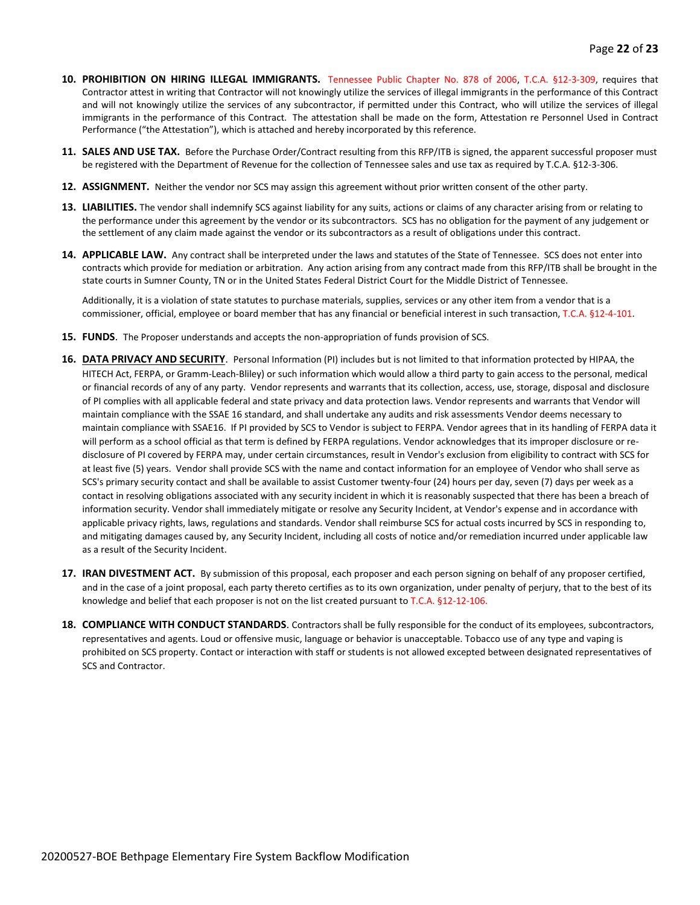- **10. PROHIBITION ON HIRING ILLEGAL IMMIGRANTS.** Tennessee Public Chapter No. 878 of 2006, T.C.A. §12-3-309, requires that Contractor attest in writing that Contractor will not knowingly utilize the services of illegal immigrants in the performance of this Contract and will not knowingly utilize the services of any subcontractor, if permitted under this Contract, who will utilize the services of illegal immigrants in the performance of this Contract. The attestation shall be made on the form, Attestation re Personnel Used in Contract Performance ("the Attestation"), which is attached and hereby incorporated by this reference.
- **11. SALES AND USE TAX.** Before the Purchase Order/Contract resulting from this RFP/ITB is signed, the apparent successful proposer must be registered with the Department of Revenue for the collection of Tennessee sales and use tax as required by T.C.A. §12-3-306.
- **12. ASSIGNMENT.** Neither the vendor nor SCS may assign this agreement without prior written consent of the other party.
- **13. LIABILITIES.** The vendor shall indemnify SCS against liability for any suits, actions or claims of any character arising from or relating to the performance under this agreement by the vendor or its subcontractors. SCS has no obligation for the payment of any judgement or the settlement of any claim made against the vendor or its subcontractors as a result of obligations under this contract.
- **14. APPLICABLE LAW.** Any contract shall be interpreted under the laws and statutes of the State of Tennessee. SCS does not enter into contracts which provide for mediation or arbitration. Any action arising from any contract made from this RFP/ITB shall be brought in the state courts in Sumner County, TN or in the United States Federal District Court for the Middle District of Tennessee.

Additionally, it is a violation of state statutes to purchase materials, supplies, services or any other item from a vendor that is a commissioner, official, employee or board member that has any financial or beneficial interest in such transaction, T.C.A. §12-4-101.

- **15. FUNDS**. The Proposer understands and accepts the non-appropriation of funds provision of SCS.
- **16. DATA PRIVACY AND SECURITY**. Personal Information (PI) includes but is not limited to that information protected by HIPAA, the HITECH Act, FERPA, or Gramm-Leach-Bliley) or such information which would allow a third party to gain access to the personal, medical or financial records of any of any party. Vendor represents and warrants that its collection, access, use, storage, disposal and disclosure of PI complies with all applicable federal and state privacy and data protection laws. Vendor represents and warrants that Vendor will maintain compliance with the SSAE 16 standard, and shall undertake any audits and risk assessments Vendor deems necessary to maintain compliance with SSAE16. If PI provided by SCS to Vendor is subject to FERPA. Vendor agrees that in its handling of FERPA data it will perform as a school official as that term is defined by FERPA regulations. Vendor acknowledges that its improper disclosure or redisclosure of PI covered by FERPA may, under certain circumstances, result in Vendor's exclusion from eligibility to contract with SCS for at least five (5) years. Vendor shall provide SCS with the name and contact information for an employee of Vendor who shall serve as SCS's primary security contact and shall be available to assist Customer twenty-four (24) hours per day, seven (7) days per week as a contact in resolving obligations associated with any security incident in which it is reasonably suspected that there has been a breach of information security. Vendor shall immediately mitigate or resolve any Security Incident, at Vendor's expense and in accordance with applicable privacy rights, laws, regulations and standards. Vendor shall reimburse SCS for actual costs incurred by SCS in responding to, and mitigating damages caused by, any Security Incident, including all costs of notice and/or remediation incurred under applicable law as a result of the Security Incident.
- **17. IRAN DIVESTMENT ACT.** By submission of this proposal, each proposer and each person signing on behalf of any proposer certified, and in the case of a joint proposal, each party thereto certifies as to its own organization, under penalty of perjury, that to the best of its knowledge and belief that each proposer is not on the list created pursuant to T.C.A. §12-12-106.
- **18. COMPLIANCE WITH CONDUCT STANDARDS**. Contractors shall be fully responsible for the conduct of its employees, subcontractors, representatives and agents. Loud or offensive music, language or behavior is unacceptable. Tobacco use of any type and vaping is prohibited on SCS property. Contact or interaction with staff or students is not allowed excepted between designated representatives of SCS and Contractor.